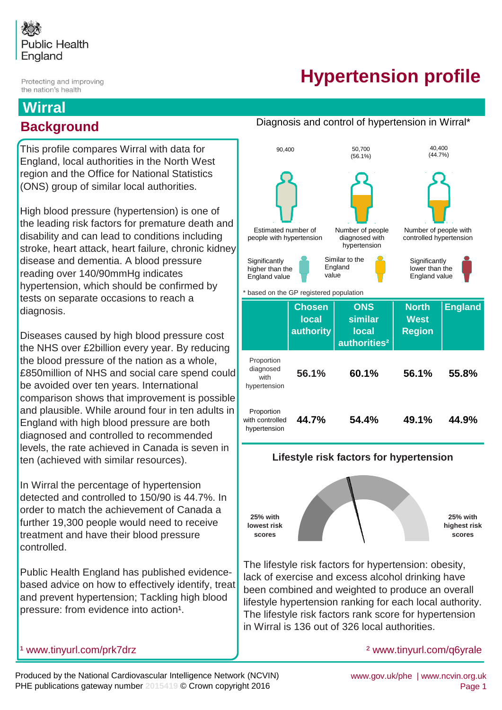

Protecting and improving the nation's health

# **Hypertension profile**

Diagnosis and control of hypertension in Wirral\*

## **Wirral Background**

This profile compares Wirral with data for England, local authorities in the North West region and the Office for National Statistics (ONS) group of similar local authorities.

High blood pressure (hypertension) is one of the leading risk factors for premature death and disability and can lead to conditions including stroke, heart attack, heart failure, chronic kidney disease and dementia. A blood pressure reading over 140/90mmHg indicates hypertension, which should be confirmed by tests on separate occasions to reach a diagnosis.

Diseases caused by high blood pressure cost the NHS over £2billion every year. By reducing the blood pressure of the nation as a whole, £850million of NHS and social care spend could be avoided over ten years. International comparison shows that improvement is possible and plausible. While around four in ten adults in England with high blood pressure are both diagnosed and controlled to recommended levels, the rate achieved in Canada is seven in ten (achieved with similar resources).

In Wirral the percentage of hypertension detected and controlled to 150/90 is 44.7%. In order to match the achievement of Canada a further 19,300 people would need to receive treatment and have their blood pressure controlled.

Public Health England has published evidencebased advice on how to effectively identify, treat and prevent hypertension; Tackling high blood pressure: from evidence into action<sup>1</sup>.

#### **ONS similar local authorities²** Proportion diagnosed with hypertension **55.8% 60.1% 54.4% Chosen local authority 56.1% 44.7% 44.9% 56.1%** based on the GP registered population **North West Region England** Proportion with controlled hypertension **49.1%** Estimated number of people with hypertension Number of people diagnosed with hypertension Number of people with controlled hypertension 90,400 50,700 (56.1%) Similar to the England value **Significantly** higher than the England value **Significantly** lower than the England value 40,400 (44.7%)



**Lifestyle risk factors for hypertension**

The lifestyle risk factors for hypertension: obesity, lack of exercise and excess alcohol drinking have been combined and weighted to produce an overall lifestyle hypertension ranking for each local authority. The lifestyle risk factors rank score for hypertension in Wirral is 136 out of 326 local authorities.

#### [²](http://www.tinyurl.com/q6yrale) www.tinyurl.com/q6yrale

<sup>1</sup> www.tinyurl.com/prk7drz

Produced by the National Cardiovascular Intelligence Network (NCVIN) PHE publications gateway number **2015419** © Crown copyright 2016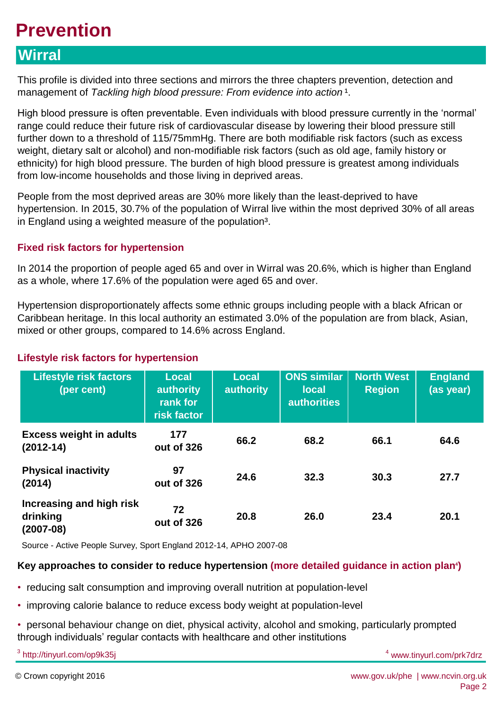## **Prevention**

## **Wirral**

This profile is divided into three sections and mirrors the three chapters prevention, detection and management of *Tackling high blood pressure: From evidence into action*<sup>1</sup>.

High blood pressure is often preventable. Even individuals with blood pressure currently in the 'normal' range could reduce their future risk of cardiovascular disease by lowering their blood pressure still further down to a threshold of 115/75mmHg. There are both modifiable risk factors (such as excess weight, dietary salt or alcohol) and non-modifiable risk factors (such as old age, family history or ethnicity) for high blood pressure. The burden of high blood pressure is greatest among individuals from low-income households and those living in deprived areas.

People from the most deprived areas are 30% more likely than the least-deprived to have hypertension. In 2015, 30.7% of the population of Wirral live within the most deprived 30% of all areas in England using a weighted measure of the population<sup>3</sup>.

#### **Fixed risk factors for hypertension**

In 2014 the proportion of people aged 65 and over in Wirral was 20.6%, which is higher than England as a whole, where 17.6% of the population were aged 65 and over.

Hypertension disproportionately affects some ethnic groups including people with a black African or Caribbean heritage. In this local authority an estimated 3.0% of the population are from black, Asian, mixed or other groups, compared to 14.6% across England.

#### **Lifestyle risk factors for hypertension**

| <b>Lifestyle risk factors</b><br>(per cent)         | <b>Local</b><br>authority<br>rank for<br>risk factor | <b>Local</b><br>authority | <b>ONS similar</b><br><b>local</b><br><b>authorities</b> | <b>North West</b><br><b>Region</b> | <b>England</b><br>(as year) |
|-----------------------------------------------------|------------------------------------------------------|---------------------------|----------------------------------------------------------|------------------------------------|-----------------------------|
| <b>Excess weight in adults</b><br>$(2012 - 14)$     | 177<br>out of 326                                    | 66.2                      | 68.2                                                     | 66.1                               | 64.6                        |
| <b>Physical inactivity</b><br>(2014)                | 97<br>out of 326                                     | 24.6                      | 32.3                                                     | 30.3                               | 27.7                        |
| Increasing and high risk<br>drinking<br>$(2007-08)$ | 72<br>out of 326                                     | 20.8                      | 26.0                                                     | 23.4                               | 20.1                        |

Source - Active People Survey, Sport England 2012-14, APHO 2007-08

## Key approaches to consider to reduce hypertension (more detailed guidance in action plan<sup>4</sup>)

- reducing salt consumption and improving overall nutrition at population-level
- improving calorie balance to reduce excess body weight at population-level
- personal behaviour change on diet, physical activity, alcohol and smoking, particularly prompted through individuals' regular contacts with healthcare and other institutions

<sup>3</sup> http://tinyurl.com/op9k35j

4 www.tinyurl.com/prk7drz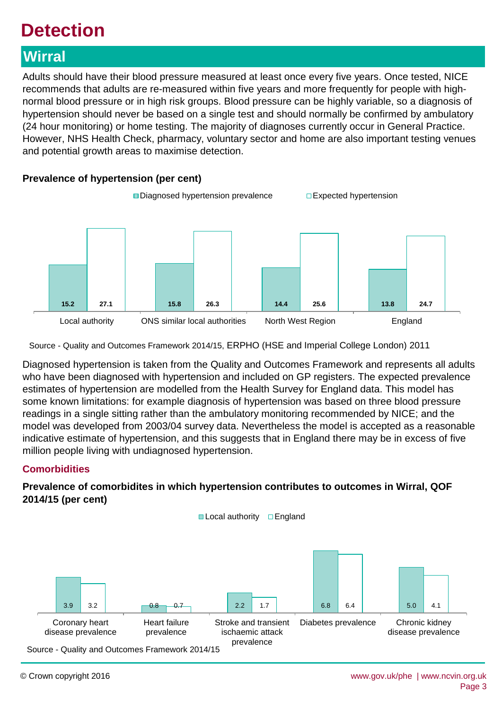# **Detection**

## **Wirral**

Adults should have their blood pressure measured at least once every five years. Once tested, NICE recommends that adults are re-measured within five years and more frequently for people with highnormal blood pressure or in high risk groups. Blood pressure can be highly variable, so a diagnosis of hypertension should never be based on a single test and should normally be confirmed by ambulatory (24 hour monitoring) or home testing. The majority of diagnoses currently occur in General Practice. However, NHS Health Check, pharmacy, voluntary sector and home are also important testing venues and potential growth areas to maximise detection.



Source - Quality and Outcomes Framework 2014/15, ERPHO (HSE and Imperial College London) 2011

Diagnosed hypertension is taken from the Quality and Outcomes Framework and represents all adults who have been diagnosed with hypertension and included on GP registers. The expected prevalence estimates of hypertension are modelled from the Health Survey for England data. This model has some known limitations: for example diagnosis of hypertension was based on three blood pressure readings in a single sitting rather than the ambulatory monitoring recommended by NICE; and the model was developed from 2003/04 survey data. Nevertheless the model is accepted as a reasonable indicative estimate of hypertension, and this suggests that in England there may be in excess of five million people living with undiagnosed hypertension.

## **Comorbidities**

## **Prevalence of comorbidites in which hypertension contributes to outcomes in Wirral, QOF 2014/15 (per cent)**



# **Prevalence of hypertension (per cent)**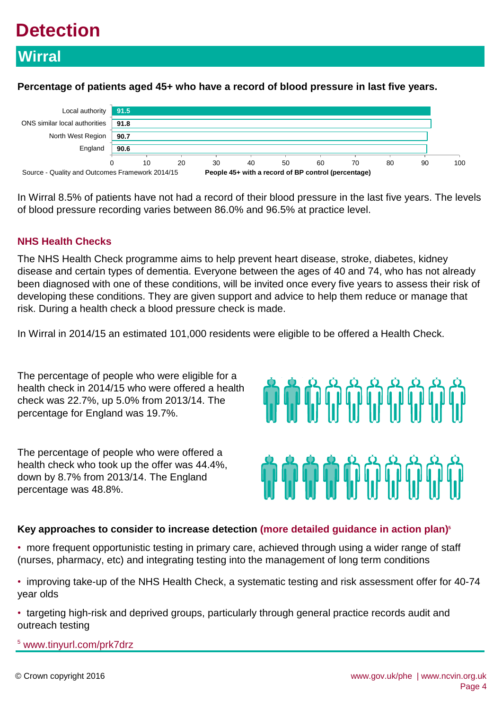# **Detection**

## **Wirral**

**Percentage of patients aged 45+ who have a record of blood pressure in last five years.**



In Wirral 8.5% of patients have not had a record of their blood pressure in the last five years. The levels of blood pressure recording varies between 86.0% and 96.5% at practice level.

## **NHS Health Checks**

The NHS Health Check programme aims to help prevent heart disease, stroke, diabetes, kidney disease and certain types of dementia. Everyone between the ages of 40 and 74, who has not already been diagnosed with one of these conditions, will be invited once every five years to assess their risk of developing these conditions. They are given support and advice to help them reduce or manage that risk. During a health check a blood pressure check is made.

In Wirral in 2014/15 an estimated 101,000 residents were eligible to be offered a Health Check.

The percentage of people who were eligible for a health check in 2014/15 who were offered a health check was 22.7%, up 5.0% from 2013/14. The percentage for England was 19.7%.

The percentage of people who were offered a health check who took up the offer was 44.4%, down by 8.7% from 2013/14. The England percentage was 48.8%.

# **in in in** in in

## **Key approaches to consider to increase detection (more detailed guidance in action plan)<sup>5</sup>**

- more frequent opportunistic testing in primary care, achieved through using a wider range of staff (nurses, pharmacy, etc) and integrating testing into the management of long term conditions
- improving take-up of the NHS Health Check, a systematic testing and risk assessment offer for 40-74 year olds
- targeting high-risk and deprived groups, particularly through general practice records audit and outreach testing

5 www.tinyurl.com/prk7drz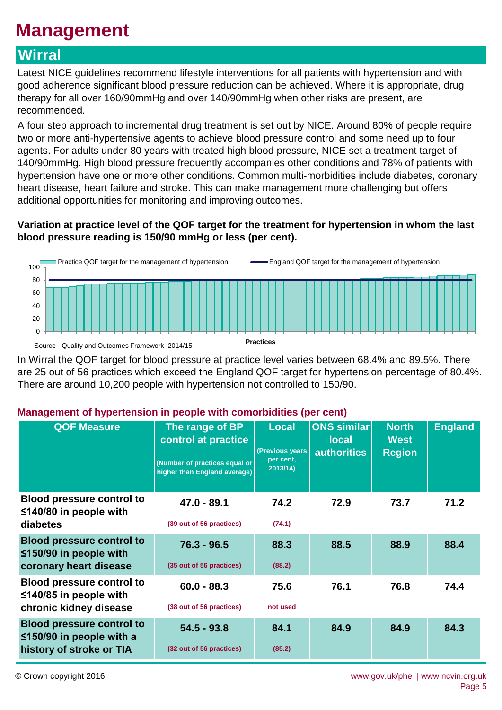# **Management**

## **Wirral**

Latest NICE guidelines recommend lifestyle interventions for all patients with hypertension and with good adherence significant blood pressure reduction can be achieved. Where it is appropriate, drug therapy for all over 160/90mmHg and over 140/90mmHg when other risks are present, are recommended.

A four step approach to incremental drug treatment is set out by NICE. Around 80% of people require two or more anti-hypertensive agents to achieve blood pressure control and some need up to four agents. For adults under 80 years with treated high blood pressure, NICE set a treatment target of 140/90mmHg. High blood pressure frequently accompanies other conditions and 78% of patients with hypertension have one or more other conditions. Common multi-morbidities include diabetes, coronary heart disease, heart failure and stroke. This can make management more challenging but offers additional opportunities for monitoring and improving outcomes.

## **Variation at practice level of the QOF target for the treatment for hypertension in whom the last blood pressure reading is 150/90 mmHg or less (per cent).**



In Wirral the QOF target for blood pressure at practice level varies between 68.4% and 89.5%. There are 25 out of 56 practices which exceed the England QOF target for hypertension percentage of 80.4%. There are around 10,200 people with hypertension not controlled to 150/90.

## **Management of hypertension in people with comorbidities (per cent)**

| <b>QOF Measure</b>                                                                             | The range of BP<br>control at practice<br>(Number of practices equal or<br>higher than England average) | <b>Local</b><br>(Previous years)<br>per cent,<br>2013/14 | <b>ONS similar</b><br><b>local</b><br><b>authorities</b> | <b>North</b><br><b>West</b><br><b>Region</b> | <b>England</b> |
|------------------------------------------------------------------------------------------------|---------------------------------------------------------------------------------------------------------|----------------------------------------------------------|----------------------------------------------------------|----------------------------------------------|----------------|
| <b>Blood pressure control to</b><br>$≤140/80$ in people with<br>diabetes                       | $47.0 - 89.1$<br>(39 out of 56 practices)                                                               | 74.2<br>(74.1)                                           | 72.9                                                     | 73.7                                         | 71.2           |
| <b>Blood pressure control to</b><br>$\leq$ 150/90 in people with<br>coronary heart disease     | $76.3 - 96.5$<br>(35 out of 56 practices)                                                               | 88.3<br>(88.2)                                           | 88.5                                                     | 88.9                                         | 88.4           |
| <b>Blood pressure control to</b><br>$\leq$ 140/85 in people with<br>chronic kidney disease     | $60.0 - 88.3$<br>(38 out of 56 practices)                                                               | 75.6<br>not used                                         | 76.1                                                     | 76.8                                         | 74.4           |
| <b>Blood pressure control to</b><br>$\leq$ 150/90 in people with a<br>history of stroke or TIA | $54.5 - 93.8$<br>(32 out of 56 practices)                                                               | 84.1<br>(85.2)                                           | 84.9                                                     | 84.9                                         | 84.3           |